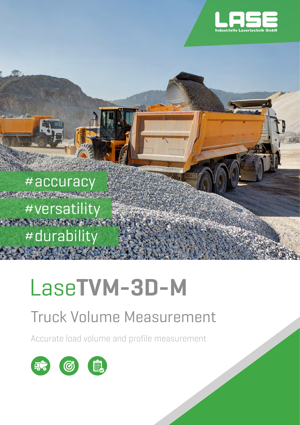

#accuracy #versatility #durability

# Lase**TVM-3D-M**

### Truck Volume Measurement

Accurate load volume and profile measurement

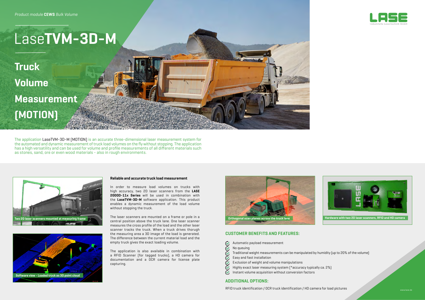www.lase.de

The application LaseTVM-3D-M (MOTION) is an accurate three-dimensional laser measurement system for the automated and dynamic measurement of truck load volumes on the fly without stopping. The application has a high versatility and can be used for volume and profile measurements of all different materials such as stones, sand, ore or even wood materials - also in rough environments.

> In order to measure load volumes on trucks with high accuracy, two 2D laser scanners from the **LASE 2000D-11x Series** will be used in combination with the **LaseTVM-3D-M** software application. This product enables a dynamic measurement of the load volume without stopping the truck.





#### **Reliable and accurate truck load measurement**

The laser scanners are mounted on a frame or pole in a central position above the truck lane. One laser scanner measures the cross profile of the load and the other laser scanner tracks the truck. When a truck drives thorugh the measuring area a 3D image of the load is generated. The difference between the current material load and the empty truck gives the exact loading volume.

The application is also available in combination with a RFID Scanner (for tagged trucks), a HD camera for documentation and a OCR camera for license plate capturing.

- Automatic payload measurement
- No queuing
- Traditional weight measurements can be manipulated by humidity (up to 20% of the volume)
- Easy and fast installation
- Exclusion of weight and volume manipulations
- **88988** Highly exact laser measuring system (\*accuracy typically ca. 2%)
- $\sigma$ Instant volume acquisition without conversion factors



#### **CUSTOMER BENEFITS AND FEATURES:**

## Lase**TVM-3D-M**

**Truck Volume Measurement (MOTION)**





#### **ADDITIONAL OPTIONS:**